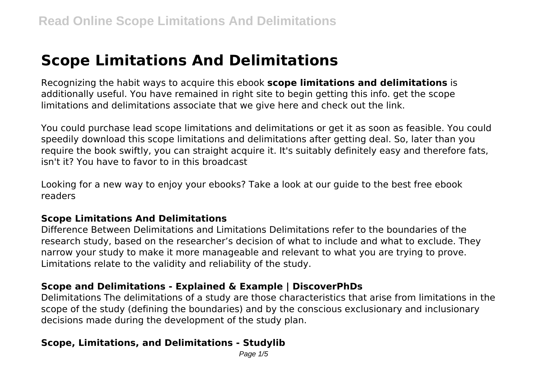# **Scope Limitations And Delimitations**

Recognizing the habit ways to acquire this ebook **scope limitations and delimitations** is additionally useful. You have remained in right site to begin getting this info. get the scope limitations and delimitations associate that we give here and check out the link.

You could purchase lead scope limitations and delimitations or get it as soon as feasible. You could speedily download this scope limitations and delimitations after getting deal. So, later than you require the book swiftly, you can straight acquire it. It's suitably definitely easy and therefore fats, isn't it? You have to favor to in this broadcast

Looking for a new way to enjoy your ebooks? Take a look at our guide to the best free ebook readers

#### **Scope Limitations And Delimitations**

Difference Between Delimitations and Limitations Delimitations refer to the boundaries of the research study, based on the researcher's decision of what to include and what to exclude. They narrow your study to make it more manageable and relevant to what you are trying to prove. Limitations relate to the validity and reliability of the study.

#### **Scope and Delimitations - Explained & Example | DiscoverPhDs**

Delimitations The delimitations of a study are those characteristics that arise from limitations in the scope of the study (defining the boundaries) and by the conscious exclusionary and inclusionary decisions made during the development of the study plan.

#### **Scope, Limitations, and Delimitations - Studylib**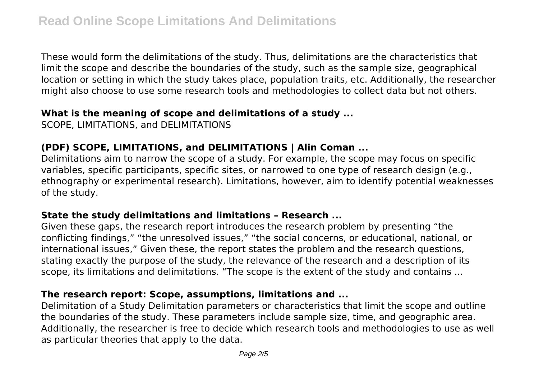These would form the delimitations of the study. Thus, delimitations are the characteristics that limit the scope and describe the boundaries of the study, such as the sample size, geographical location or setting in which the study takes place, population traits, etc. Additionally, the researcher might also choose to use some research tools and methodologies to collect data but not others.

#### **What is the meaning of scope and delimitations of a study ...**

SCOPE, LIMITATIONS, and DELIMITATIONS

### **(PDF) SCOPE, LIMITATIONS, and DELIMITATIONS | Alin Coman ...**

Delimitations aim to narrow the scope of a study. For example, the scope may focus on specific variables, specific participants, specific sites, or narrowed to one type of research design (e.g., ethnography or experimental research). Limitations, however, aim to identify potential weaknesses of the study.

#### **State the study delimitations and limitations – Research ...**

Given these gaps, the research report introduces the research problem by presenting "the conflicting findings," "the unresolved issues," "the social concerns, or educational, national, or international issues," Given these, the report states the problem and the research questions, stating exactly the purpose of the study, the relevance of the research and a description of its scope, its limitations and delimitations. "The scope is the extent of the study and contains ...

### **The research report: Scope, assumptions, limitations and ...**

Delimitation of a Study Delimitation parameters or characteristics that limit the scope and outline the boundaries of the study. These parameters include sample size, time, and geographic area. Additionally, the researcher is free to decide which research tools and methodologies to use as well as particular theories that apply to the data.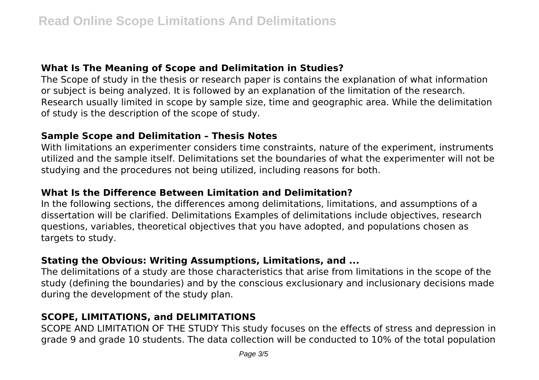### **What Is The Meaning of Scope and Delimitation in Studies?**

The Scope of study in the thesis or research paper is contains the explanation of what information or subject is being analyzed. It is followed by an explanation of the limitation of the research. Research usually limited in scope by sample size, time and geographic area. While the delimitation of study is the description of the scope of study.

## **Sample Scope and Delimitation – Thesis Notes**

With limitations an experimenter considers time constraints, nature of the experiment, instruments utilized and the sample itself. Delimitations set the boundaries of what the experimenter will not be studying and the procedures not being utilized, including reasons for both.

## **What Is the Difference Between Limitation and Delimitation?**

In the following sections, the differences among delimitations, limitations, and assumptions of a dissertation will be clarified. Delimitations Examples of delimitations include objectives, research questions, variables, theoretical objectives that you have adopted, and populations chosen as targets to study.

## **Stating the Obvious: Writing Assumptions, Limitations, and ...**

The delimitations of a study are those characteristics that arise from limitations in the scope of the study (defining the boundaries) and by the conscious exclusionary and inclusionary decisions made during the development of the study plan.

# **SCOPE, LIMITATIONS, and DELIMITATIONS**

SCOPE AND LIMITATION OF THE STUDY This study focuses on the effects of stress and depression in grade 9 and grade 10 students. The data collection will be conducted to 10% of the total population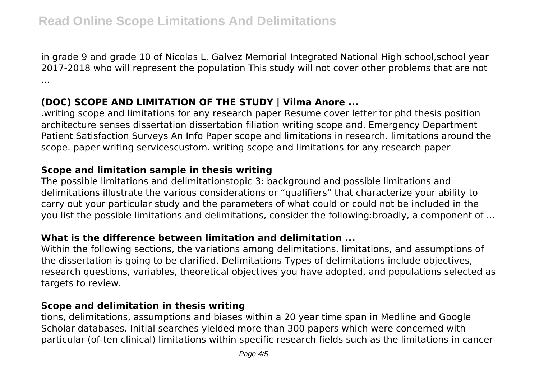in grade 9 and grade 10 of Nicolas L. Galvez Memorial Integrated National High school,school year 2017-2018 who will represent the population This study will not cover other problems that are not ...

### **(DOC) SCOPE AND LIMITATION OF THE STUDY | Vilma Anore ...**

.writing scope and limitations for any research paper Resume cover letter for phd thesis position architecture senses dissertation dissertation filiation writing scope and. Emergency Department Patient Satisfaction Surveys An Info Paper scope and limitations in research. limitations around the scope. paper writing servicescustom. writing scope and limitations for any research paper

#### **Scope and limitation sample in thesis writing**

The possible limitations and delimitationstopic 3: background and possible limitations and delimitations illustrate the various considerations or "qualifiers" that characterize your ability to carry out your particular study and the parameters of what could or could not be included in the you list the possible limitations and delimitations, consider the following:broadly, a component of ...

#### **What is the difference between limitation and delimitation ...**

Within the following sections, the variations among delimitations, limitations, and assumptions of the dissertation is going to be clarified. Delimitations Types of delimitations include objectives, research questions, variables, theoretical objectives you have adopted, and populations selected as targets to review.

#### **Scope and delimitation in thesis writing**

tions, delimitations, assumptions and biases within a 20 year time span in Medline and Google Scholar databases. Initial searches yielded more than 300 papers which were concerned with particular (of-ten clinical) limitations within specific research fields such as the limitations in cancer